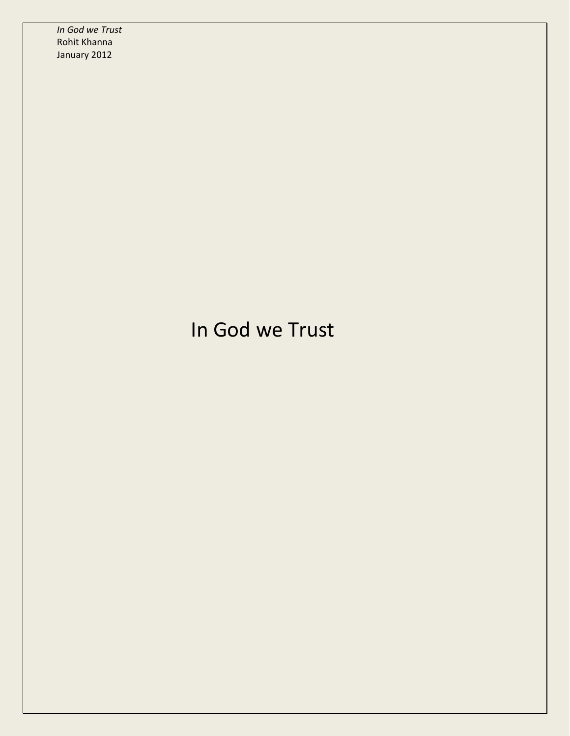## In God we Trust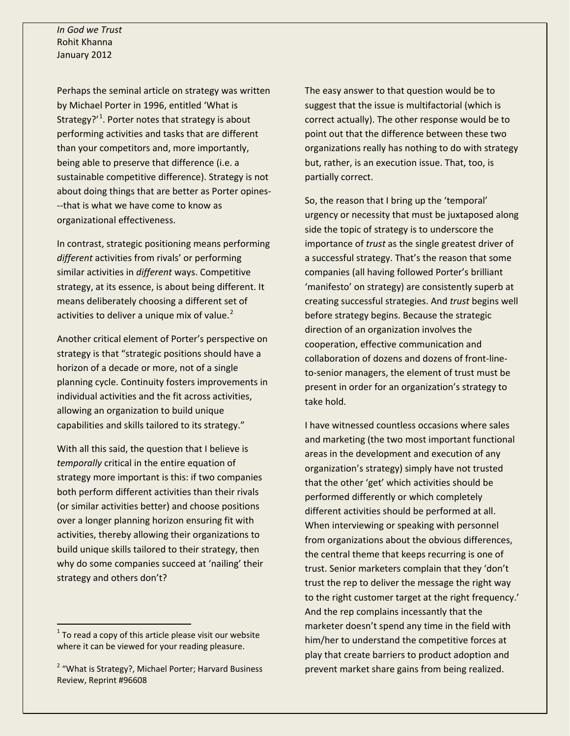Perhaps the seminal article on strategy was written by Michael Porter in 1996, entitled 'What is Strategy?'<sup>[1](#page-1-0)</sup>. Porter notes that strategy is about performing activities and tasks that are different than your competitors and, more importantly, being able to preserve that difference (i.e. a sustainable competitive difference). Strategy is not about doing things that are better as Porter opines- --that is what we have come to know as organizational effectiveness.

In contrast, strategic positioning means performing *different* activities from rivals' or performing similar activities in *different* ways. Competitive strategy, at its essence, is about being different. It means deliberately choosing a different set of activities to deliver a unique mix of value.<sup>[2](#page-1-1)</sup>

Another critical element of Porter's perspective on strategy is that "strategic positions should have a horizon of a decade or more, not of a single planning cycle. Continuity fosters improvements in individual activities and the fit across activities, allowing an organization to build unique capabilities and skills tailored to its strategy."

With all this said, the question that I believe is *temporally* critical in the entire equation of strategy more important is this: if two companies both perform different activities than their rivals (or similar activities better) and choose positions over a longer planning horizon ensuring fit with activities, thereby allowing their organizations to build unique skills tailored to their strategy, then why do some companies succeed at 'nailing' their strategy and others don't?

The easy answer to that question would be to suggest that the issue is multifactorial (which is correct actually). The other response would be to point out that the difference between these two organizations really has nothing to do with strategy but, rather, is an execution issue. That, too, is partially correct.

So, the reason that I bring up the 'temporal' urgency or necessity that must be juxtaposed along side the topic of strategy is to underscore the importance of *trust* as the single greatest driver of a successful strategy. That's the reason that some companies (all having followed Porter's brilliant 'manifesto' on strategy) are consistently superb at creating successful strategies. And *trust* begins well before strategy begins. Because the strategic direction of an organization involves the cooperation, effective communication and collaboration of dozens and dozens of front-lineto-senior managers, the element of trust must be present in order for an organization's strategy to take hold.

I have witnessed countless occasions where sales and marketing (the two most important functional areas in the development and execution of any organization's strategy) simply have not trusted that the other 'get' which activities should be performed differently or which completely different activities should be performed at all. When interviewing or speaking with personnel from organizations about the obvious differences, the central theme that keeps recurring is one of trust. Senior marketers complain that they 'don't trust the rep to deliver the message the right way to the right customer target at the right frequency.' And the rep complains incessantly that the marketer doesn't spend any time in the field with him/her to understand the competitive forces at play that create barriers to product adoption and prevent market share gains from being realized.

<span id="page-1-0"></span> $1$  To read a copy of this article please visit our website where it can be viewed for your reading pleasure.

<span id="page-1-1"></span><sup>&</sup>lt;sup>2</sup> "What is Strategy?, Michael Porter; Harvard Business Review, Reprint #96608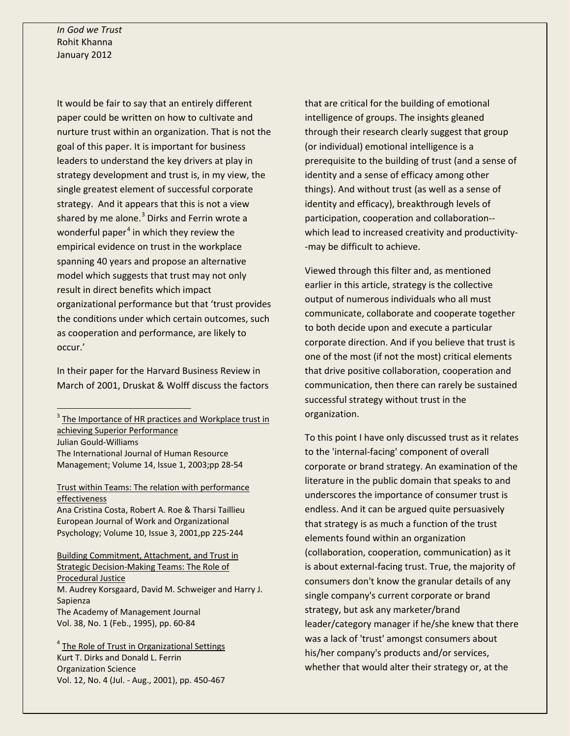It would be fair to say that an entirely different paper could be written on how to cultivate and nurture trust within an organization. That is not the goal of this paper. It is important for business leaders to understand the key drivers at play in strategy development and trust is, in my view, the single greatest element of successful corporate strategy. And it appears that this is not a view shared by me alone. $3$  Dirks and Ferrin wrote a wonderful paper<sup>[4](#page-2-1)</sup> in which they review the empirical evidence on trust in the workplace spanning 40 years and propose an alternative model which suggests that trust may not only result in direct benefits which impact organizational performance but that 'trust provides the conditions under which certain outcomes, such as cooperation and performance, are likely to occur.'

In their paper for the Harvard Business Review in March of 2001, Druskat & Wolff discuss the factors

<span id="page-2-0"></span> $3$  The Importance of HR practices and Workplace trust in achieving Superior Performance Julian Gould-Williams

The International Journal of Human Resource Management; Volume 14, Issue 1, 2003;pp 28-54

Trust within Teams: The relation with performance effectiveness Ana Cristina Costa, Robert A. Roe & Tharsi Taillieu European Journal of Work and Organizational Psychology; Volume 10, Issue 3, 2001,pp 225-244 Building Commitment, Attachment, and Trust in Strategic Decision-Making Teams: The Role of Procedural Justice M. Audrey Korsgaard, David M. Schweiger and Harry J. Sapienza The Academy of Management Journal Vol. 38, No. 1 (Feb., 1995), pp. 60-84

<span id="page-2-1"></span><sup>4</sup> The Role of Trust in Organizational Settings Kurt T. Dirks and Donald L. Ferrin Organization Science Vol. 12, No. 4 (Jul. - Aug., 2001), pp. 450-467

that are critical for the building of emotional intelligence of groups. The insights gleaned through their research clearly suggest that group (or individual) emotional intelligence is a prerequisite to the building of trust (and a sense of identity and a sense of efficacy among other things). And without trust (as well as a sense of identity and efficacy), breakthrough levels of participation, cooperation and collaboration- which lead to increased creativity and productivity- -may be difficult to achieve.

Viewed through this filter and, as mentioned earlier in this article, strategy is the collective output of numerous individuals who all must communicate, collaborate and cooperate together to both decide upon and execute a particular corporate direction. And if you believe that trust is one of the most (if not the most) critical elements that drive positive collaboration, cooperation and communication, then there can rarely be sustained successful strategy without trust in the organization.

To this point I have only discussed trust as it relates to the 'internal-facing' component of overall corporate or brand strategy. An examination of the literature in the public domain that speaks to and underscores the importance of consumer trust is endless. And it can be argued quite persuasively that strategy is as much a function of the trust elements found within an organization (collaboration, cooperation, communication) as it is about external-facing trust. True, the majority of consumers don't know the granular details of any single company's current corporate or brand strategy, but ask any marketer/brand leader/category manager if he/she knew that there was a lack of 'trust' amongst consumers about his/her company's products and/or services, whether that would alter their strategy or, at the